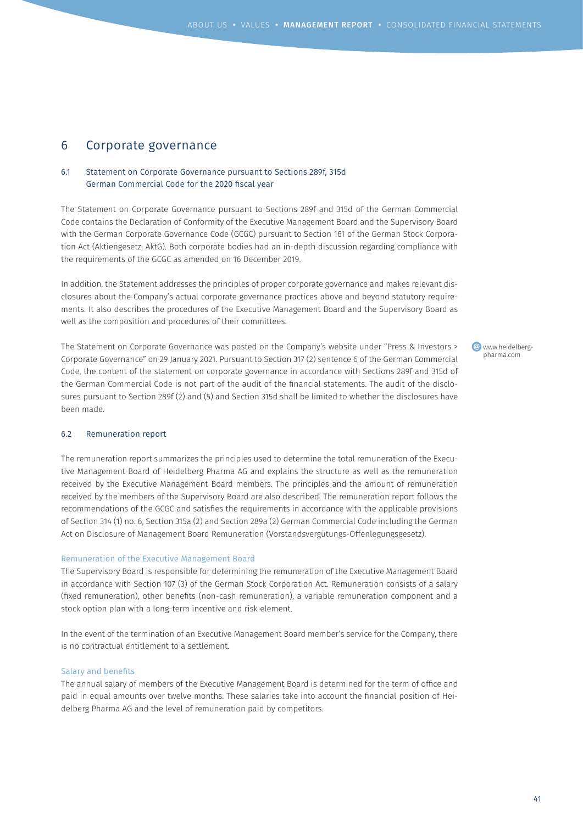# 6 Corporate governance

## 6.1 Statement on Corporate Governance pursuant to Sections 289f, 315d German Commercial Code for the 2020 fiscal year

The Statement on Corporate Governance pursuant to Sections 289f and 315d of the German Commercial Code contains the Declaration of Conformity of the Executive Management Board and the Supervisory Board with the German Corporate Governance Code (GCGC) pursuant to Section 161 of the German Stock Corporation Act (Aktiengesetz, AktG). Both corporate bodies had an in-depth discussion regarding compliance with the requirements of the GCGC as amended on 16 December 2019.

In addition, the Statement addresses the principles of proper corporate governance and makes relevant disclosures about the Company's actual corporate governance practices above and beyond statutory requirements. It also describes the procedures of the Executive Management Board and the Supervisory Board as well as the composition and procedures of their committees.

The Statement on Corporate Governance was posted on the Company's website under "Press & Investors > Corporate Governance" on 29 January 2021. Pursuant to Section 317 (2) sentence 6 of the German Commercial Code, the content of the statement on corporate governance in accordance with Sections 289f and 315d of the German Commercial Code is not part of the audit of the financial statements. The audit of the disclosures pursuant to Section 289f (2) and (5) and Section 315d shall be limited to whether the disclosures have been made.

www.heidelbergpharma.com

### 6.2 Remuneration report

The remuneration report summarizes the principles used to determine the total remuneration of the Executive Management Board of Heidelberg Pharma AG and explains the structure as well as the remuneration received by the Executive Management Board members. The principles and the amount of remuneration received by the members of the Supervisory Board are also described. The remuneration report follows the recommendations of the GCGC and satisfies the requirements in accordance with the applicable provisions of Section 314 (1) no. 6, Section 315a (2) and Section 289a (2) German Commercial Code including the German Act on Disclosure of Management Board Remuneration (Vorstandsvergütungs-Offenlegungsgesetz).

### Remuneration of the Executive Management Board

The Supervisory Board is responsible for determining the remuneration of the Executive Management Board in accordance with Section 107 (3) of the German Stock Corporation Act. Remuneration consists of a salary (fixed remuneration), other benefits (non-cash remuneration), a variable remuneration component and a stock option plan with a long-term incentive and risk element.

In the event of the termination of an Executive Management Board member's service for the Company, there is no contractual entitlement to a settlement.

### Salary and benefits

The annual salary of members of the Executive Management Board is determined for the term of office and paid in equal amounts over twelve months. These salaries take into account the financial position of Heidelberg Pharma AG and the level of remuneration paid by competitors.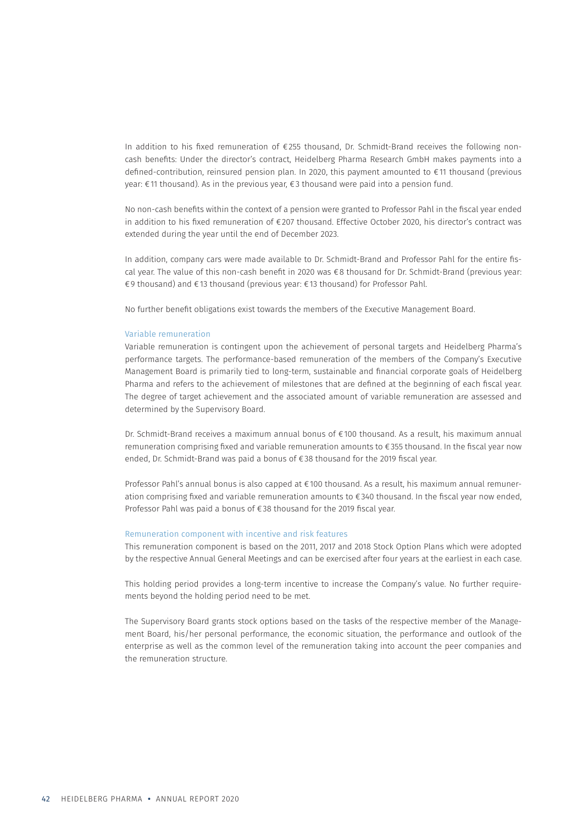In addition to his fixed remuneration of €255 thousand, Dr. Schmidt-Brand receives the following noncash benefits: Under the director's contract, Heidelberg Pharma Research GmbH makes payments into a defined-contribution, reinsured pension plan. In 2020, this payment amounted to €11 thousand (previous year: €11 thousand). As in the previous year, €3 thousand were paid into a pension fund.

No non-cash benefits within the context of a pension were granted to Professor Pahl in the fiscal year ended in addition to his fixed remuneration of €207 thousand. Effective October 2020, his director's contract was extended during the year until the end of December 2023.

In addition, company cars were made available to Dr. Schmidt-Brand and Professor Pahl for the entire fiscal year. The value of this non-cash benefit in 2020 was €8 thousand for Dr. Schmidt-Brand (previous year: €9 thousand) and €13 thousand (previous year: €13 thousand) for Professor Pahl.

No further benefit obligations exist towards the members of the Executive Management Board.

#### Variable remuneration

Variable remuneration is contingent upon the achievement of personal targets and Heidelberg Pharma's performance targets. The performance-based remuneration of the members of the Company's Executive Management Board is primarily tied to long-term, sustainable and financial corporate goals of Heidelberg Pharma and refers to the achievement of milestones that are defined at the beginning of each fiscal year. The degree of target achievement and the associated amount of variable remuneration are assessed and determined by the Supervisory Board.

Dr. Schmidt-Brand receives a maximum annual bonus of €100 thousand. As a result, his maximum annual remuneration comprising fixed and variable remuneration amounts to €355 thousand. In the fiscal year now ended, Dr. Schmidt-Brand was paid a bonus of €38 thousand for the 2019 fiscal year.

Professor Pahl's annual bonus is also capped at €100 thousand. As a result, his maximum annual remuneration comprising fixed and variable remuneration amounts to €340 thousand. In the fiscal year now ended, Professor Pahl was paid a bonus of €38 thousand for the 2019 fiscal year.

### Remuneration component with incentive and risk features

This remuneration component is based on the 2011, 2017 and 2018 Stock Option Plans which were adopted by the respective Annual General Meetings and can be exercised after four years at the earliest in each case.

This holding period provides a long-term incentive to increase the Company's value. No further requirements beyond the holding period need to be met.

The Supervisory Board grants stock options based on the tasks of the respective member of the Management Board, his/her personal performance, the economic situation, the performance and outlook of the enterprise as well as the common level of the remuneration taking into account the peer companies and the remuneration structure.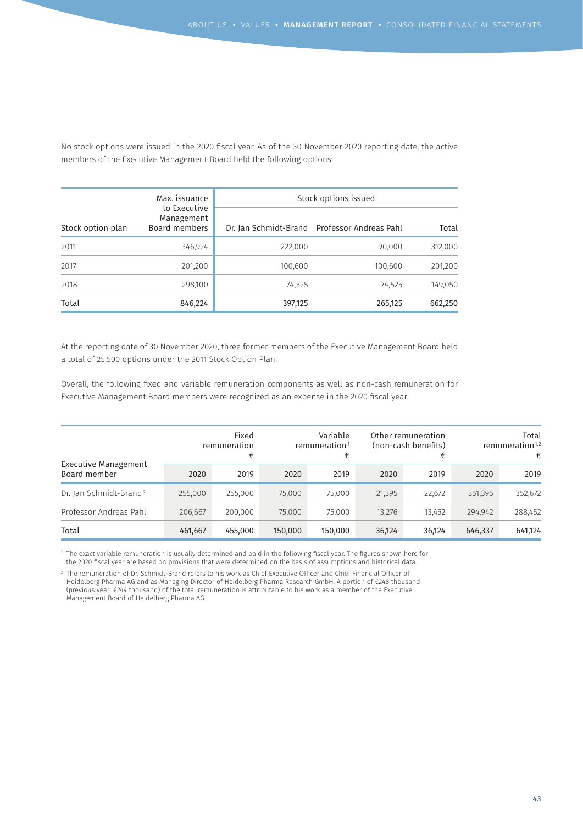No stock options were issued in the 2020 fiscal year. As of the 30 November 2020 reporting date, the active members of the Executive Management Board held the following options:

|                   | Max. issuance                               | Stock options issued |                                              |         |  |  |  |
|-------------------|---------------------------------------------|----------------------|----------------------------------------------|---------|--|--|--|
| Stock option plan | to Executive<br>Management<br>Board members |                      | Dr. Jan Schmidt-Brand Professor Andreas Pahl | Total   |  |  |  |
| 2011              | 346,924                                     | 222,000              | 90,000                                       | 312,000 |  |  |  |
| 2017              | 201,200                                     | 100,600              | 100,600                                      | 201,200 |  |  |  |
| 2018              | 298,100                                     | 74,525               | 74,525                                       | 149,050 |  |  |  |
| Total             | 846,224                                     | 397,125              | 265,125                                      | 662,250 |  |  |  |

At the reporting date of 30 November 2020, three former members of the Executive Management Board held a total of 25,500 options under the 2011 Stock Option Plan.

Overall, the following fixed and variable remuneration components as well as non-cash remuneration for Executive Management Board members were recognized as an expense in the 2020 fiscal year:

| Executive Management<br>Board member |         | Fixed<br>remuneration<br>€ |         | Variable<br>remuneration <sup>1</sup><br>€ |        | Other remuneration<br>(non-cash benefits) |         | Total<br>remuneration $1,2$<br>€ |
|--------------------------------------|---------|----------------------------|---------|--------------------------------------------|--------|-------------------------------------------|---------|----------------------------------|
|                                      | 2020    | 2019                       | 2020    | 2019                                       | 2020   | 2019                                      | 2020    | 2019                             |
| Dr. Jan Schmidt-Brand <sup>2</sup>   | 255,000 | 255,000                    | 75,000  | 75,000                                     | 21,395 | 22,672                                    | 351,395 | 352,672                          |
| Professor Andreas Pahl               | 206,667 | 200,000                    | 75,000  | 75,000                                     | 13,276 | 13,452                                    | 294,942 | 288,452                          |
| Total                                | 461,667 | 455,000                    | 150,000 | 150,000                                    | 36,124 | 36,124                                    | 646,337 | 641,124                          |

1 The exact variable remuneration is usually determined and paid in the following fiscal year. The figures shown here for the 2020 fiscal year are based on provisions that were determined on the basis of assumptions and historical data.

2 The remuneration of Dr. Schmidt-Brand refers to his work as Chief Executive Officer and Chief Financial Officer of Heidelberg Pharma AG and as Managing Director of Heidelberg Pharma Research GmbH. A portion of €248 thousand (previous year: €249 thousand) of the total remuneration is attributable to his work as a member of the Executive Management Board of Heidelberg Pharma AG.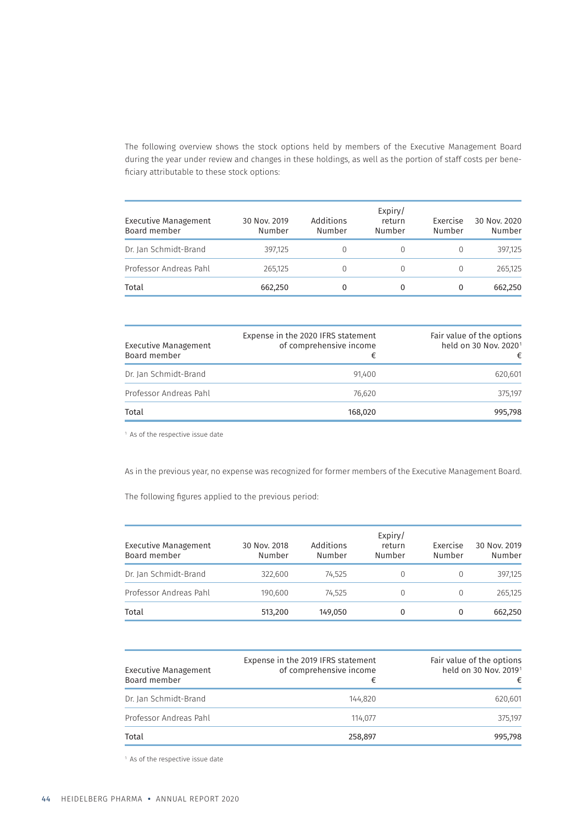The following overview shows the stock options held by members of the Executive Management Board during the year under review and changes in these holdings, as well as the portion of staff costs per beneficiary attributable to these stock options:

| Executive Management<br>Board member | 30 Nov. 2019<br>Number | Additions<br>Number | Expiry/<br>return<br>Number | Exercise<br>Number | 30 Nov. 2020<br>Number |
|--------------------------------------|------------------------|---------------------|-----------------------------|--------------------|------------------------|
| Dr. Jan Schmidt-Brand                | 397,125                |                     | $\Omega$                    |                    | 397,125                |
| Professor Andreas Pahl               | 265,125                |                     | $\Omega$                    |                    | 265.125                |
| Total                                | 662,250                |                     | 0                           | 0                  | 662,250                |

| Executive Management<br>Board member | Expense in the 2020 IFRS statement<br>of comprehensive income<br>€ | Fair value of the options<br>held on 30 Nov. 2020 <sup>1</sup><br>€ |
|--------------------------------------|--------------------------------------------------------------------|---------------------------------------------------------------------|
| Dr. Jan Schmidt-Brand                | 91.400                                                             | 620.601                                                             |
| Professor Andreas Pahl               | 76.620                                                             | 375.197                                                             |
| Total                                | 168,020                                                            | 995,798                                                             |

<sup>1</sup> As of the respective issue date

As in the previous year, no expense was recognized for former members of the Executive Management Board.

The following figures applied to the previous period:

| Executive Management<br>Board member | 30 Nov. 2018<br>Number | Additions<br>Number | Expiry/<br>return<br>Number | Exercise<br>Number | 30 Nov. 2019<br>Number |
|--------------------------------------|------------------------|---------------------|-----------------------------|--------------------|------------------------|
| Dr. Jan Schmidt-Brand                | 322,600                | 74,525              |                             | $\left( \right)$   | 397.125                |
| Professor Andreas Pahl               | 190,600                | 74.525              | 0                           | 0                  | 265,125                |
| Total                                | 513,200                | 149,050             | 0                           | 0                  | 662.250                |

| Executive Management<br>Board member | Expense in the 2019 IFRS statement<br>of comprehensive income<br>€ | Fair value of the options<br>held on 30 Nov. 20191<br>€ |
|--------------------------------------|--------------------------------------------------------------------|---------------------------------------------------------|
| Dr. Jan Schmidt-Brand                | 144.820                                                            | 620,601                                                 |
| Professor Andreas Pahl               | 114.077                                                            | 375.197                                                 |
| Total                                | 258,897                                                            | 995.798                                                 |

<sup>1</sup> As of the respective issue date